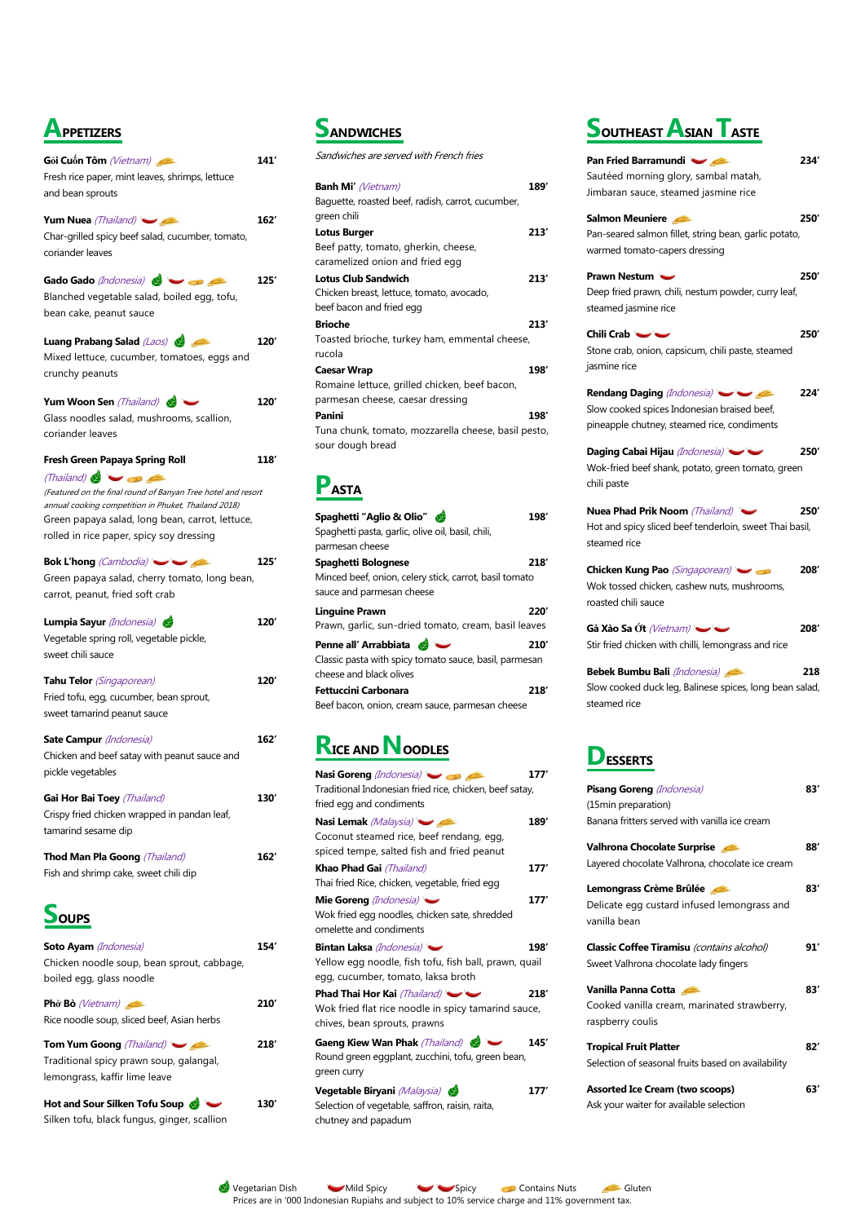Vegetarian Dish Mild Spicy Spicy Spicy Contains Nuts Gluten Prices are in '000 Indonesian Rupiahs and subject to 10% service charge and 11% government tax.

# **APPETIZERS**

| Gỏi Cuốn Tôm (Vietnam)<br>Fresh rice paper, mint leaves, shrimps, lettuce<br>and bean sprouts                                                                                                                                                                                                    | 141′ |
|--------------------------------------------------------------------------------------------------------------------------------------------------------------------------------------------------------------------------------------------------------------------------------------------------|------|
| Yum Nuea (Thailand)<br>Char-grilled spicy beef salad, cucumber, tomato,<br>coriander leaves                                                                                                                                                                                                      | 162' |
| Gado Gado (Indonesia)<br>Blanched vegetable salad, boiled egg, tofu,<br>bean cake, peanut sauce                                                                                                                                                                                                  | 125′ |
| Luang Prabang Salad (Laos)<br>Mixed lettuce, cucumber, tomatoes, eggs and<br>crunchy peanuts                                                                                                                                                                                                     | 120′ |
| Yum Woon Sen (Thailand)<br>Glass noodles salad, mushrooms, scallion,<br>coriander leaves                                                                                                                                                                                                         | 120′ |
| <b>Fresh Green Papaya Spring Roll</b><br>(Thailand) $\blacktriangleright$<br>(Featured on the final round of Banyan Tree hotel and resort<br>annual cooking competition in Phuket, Thailand 2018)<br>Green papaya salad, long bean, carrot, lettuce,<br>rolled in rice paper, spicy soy dressing | 118′ |
| <b>Bok L'hong</b> (Cambodia)<br>Green papaya salad, cherry tomato, long bean,<br>carrot, peanut, fried soft crab                                                                                                                                                                                 | 125′ |
| Lumpia Sayur (Indonesia)<br>Vegetable spring roll, vegetable pickle,<br>sweet chili sauce                                                                                                                                                                                                        | 120′ |
| Tahu Telor (Singaporean)<br>Fried tofu, egg, cucumber, bean sprout,<br>sweet tamarind peanut sauce                                                                                                                                                                                               | 120′ |
| Sate Campur (Indonesia)<br>Chicken and beef satay with peanut sauce and<br>pickle vegetables                                                                                                                                                                                                     | 162′ |
| Gai Hor Bai Toey (Thailand)<br>Crispy fried chicken wrapped in pandan leaf,<br>tamarind sesame dip                                                                                                                                                                                               | 130′ |
| Thod Man Pla Goong (Thailand)                                                                                                                                                                                                                                                                    | 162' |

Fish and shrimp cake, sweet chili dip



#### **Soto Ayam** (Indonesia) **154'** Chicken noodle soup, bean sprout, cabbage, boiled egg, glass noodle

**Phở Bò** (Vietnam) **210'** Rice noodle soup, sliced beef, Asian herbs

**Tom Yum Goong** (Thailand) **218'** Traditional spicy prawn soup, galangal, lemongrass, kaffir lime leave

Phad Thai Hor Kai *(Thailand)*  $\sim$  218<sup>'</sup> Wok fried flat rice noodle in spicy tamarind sauce, chives, bean sprouts, prawns

**Hot and Sour Silken Tofu Soup 130'** Silken tofu, black fungus, ginger, scallion

## **SANDWICHES**

Sandwiches are served with French fries

| <b>Banh Mi'</b> (Vietnam)<br>Baquette, roasted beef, radish, carrot, cucumber,<br>green chili | 189′ |
|-----------------------------------------------------------------------------------------------|------|
| Lotus Burger<br>Beef patty, tomato, gherkin, cheese,                                          | 213′ |
| caramelized onion and fried egg                                                               |      |
| <b>Lotus Club Sandwich</b><br>Chicken breast, lettuce, tomato, avocado,                       | 213′ |
| beef bacon and fried egg<br><b>Brioche</b>                                                    | 213′ |
| Toasted brioche, turkey ham, emmental cheese,<br>rucola                                       |      |
| Caesar Wrap                                                                                   | 198′ |
| Romaine lettuce, grilled chicken, beef bacon,                                                 |      |
| parmesan cheese, caesar dressing                                                              |      |
| <b>Panini</b>                                                                                 | 198′ |
| Tuna chunk, tomato, mozzarella cheese, basil pesto,<br>sour dough bread                       |      |

# **PASTA**

| Spaghetti "Aglio & Olio"                               | 198′ |
|--------------------------------------------------------|------|
| Spaghetti pasta, garlic, olive oil, basil, chili,      |      |
| parmesan cheese                                        |      |
| Spaghetti Bolognese                                    | 218  |
| Minced beef, onion, celery stick, carrot, basil tomato |      |
| sauce and parmesan cheese                              |      |
| <b>Linguine Prawn</b>                                  | 220' |
| Prawn, garlic, sun-dried tomato, cream, basil leaves   |      |
| Penne all' Arrabbiata                                  | 210' |
| Classic pasta with spicy tomato sauce, basil, parmesan |      |
| cheese and black olives                                |      |
| <b>Fettuccini Carbonara</b>                            | 218′ |
| Beef bacon, onion, cream sauce, parmesan cheese        |      |

# **RICE AND NOODLES**

| Nasi Goreng (Indonesia)                                 |      |
|---------------------------------------------------------|------|
| Traditional Indonesian fried rice, chicken, beef satay, |      |
| fried egg and condiments                                |      |
| Nasi Lemak (Malaysia)                                   | 189  |
| Coconut steamed rice, beef rendang, egg,                |      |
| spiced tempe, salted fish and fried peanut              |      |
| <b>Khao Phad Gai</b> (Thailand)                         | 177′ |
| Thai fried Rice, chicken, vegetable, fried egg          |      |
| Mie Goreng (Indonesia)                                  | 177′ |
| Wok fried egg noodles, chicken sate, shredded           |      |

omelette and condiments

**Bintan Laksa** (Indonesia) **198'** Yellow egg noodle, fish tofu, fish ball, prawn, quail egg, cucumber, tomato, laksa broth

**Gaeng Kiew Wan Phak** (Thailand) **145'** Round green eggplant, zucchini, tofu, green bean, green curry

**Vegetable Biryani** (Malaysia) **177'**

Selection of vegetable, saffron, raisin, raita,

chutney and papadum

# **SOUTHEASTASIAN TASTE**

| <b>Pan Fried Barramundi</b>                             | 234′ |
|---------------------------------------------------------|------|
| Sautéed morning glory, sambal matah,                    |      |
| Jimbaran sauce, steamed jasmine rice                    |      |
| Salmon Meuniere                                         | 250′ |
| Pan-seared salmon fillet, string bean, garlic potato,   |      |
| warmed tomato-capers dressing                           |      |
| <b>Prawn Nestum</b>                                     | 250′ |
|                                                         |      |
| Deep fried prawn, chili, nestum powder, curry leaf,     |      |
| steamed jasmine rice                                    |      |
| Chili Crab                                              | 250′ |
| Stone crab, onion, capsicum, chili paste, steamed       |      |
| jasmine rice                                            |      |
|                                                         |      |
| <b>Rendang Daging (Indonesia)</b>                       | 224′ |
| Slow cooked spices Indonesian braised beef,             |      |
| pineapple chutney, steamed rice, condiments             |      |
|                                                         |      |
| Daging Cabai Hijau (Indonesia)                          | 250' |
| Wok-fried beef shank, potato, green tomato, green       |      |
| chili paste                                             |      |
|                                                         |      |
| Nuea Phad Prik Noom (Thailand)                          | 250  |
| Hot and spicy sliced beef tenderloin, sweet Thai basil, |      |
| steamed rice                                            |      |
|                                                         |      |
| Chicken Kung Pao (Singaporean)                          | 208′ |
| Wok tossed chicken, cashew nuts, mushrooms,             |      |
| roasted chili sauce                                     |      |
|                                                         |      |
| Gà Xào Sa Ót (Vietnam)                                  | 208′ |
| Stir fried chicken with chilli, lemongrass and rice     |      |
| Bebek Bumbu Bali (Indonesia)                            | 218  |
| Slow cooked duck leg, Balinese spices, long bean salad, |      |
| steamed rice                                            |      |
|                                                         |      |
|                                                         |      |
|                                                         |      |
| <b>DESSERTS</b>                                         |      |
|                                                         |      |
| <b>Pisang Goreng</b> (Indonesia)                        | 83′  |
| (15min preparation)                                     |      |
| Banana fritters served with vanilla ice cream           |      |
|                                                         |      |
| Valhrona Chocolate Surprise                             | 88′  |
| Layered chocolate Valhrona, chocolate ice cream         |      |
| Lemongrass Crème Brûlée                                 | 83′  |
| Delicate egg custard infused lemongrass and             |      |
|                                                         |      |

vanilla bean

**Classic Coffee Tiramisu** (contains alcohol) **91'** Sweet Valhrona chocolate lady fingers

**Vanilla Panna Cotta 83'** Cooked vanilla cream, marinated strawberry, raspberry coulis

#### **Tropical Fruit Platter 82'**

Selection of seasonal fruits based on availability

**Assorted Ice Cream (two scoops) 63'**

Ask your waiter for available selection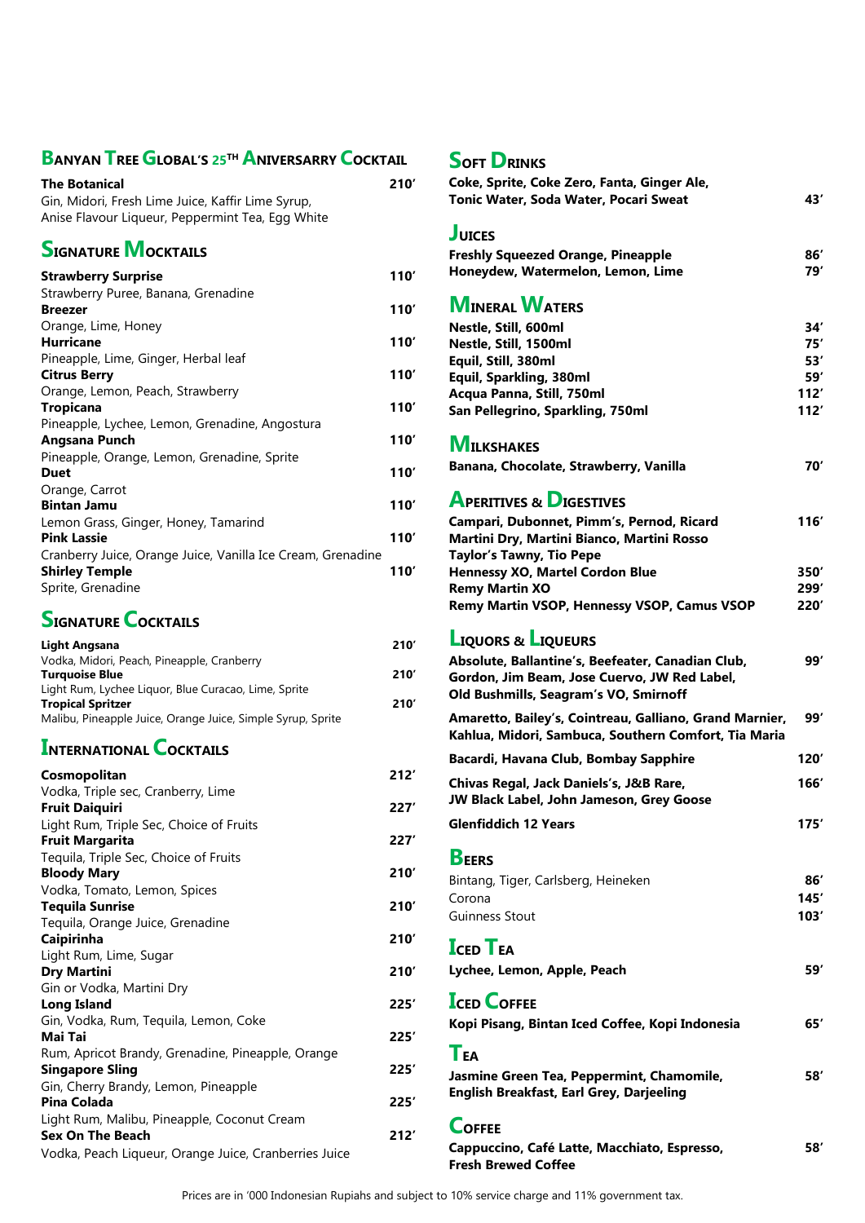#### **BANYAN TREE GLOBAL'S <sup>25</sup>TH ANIVERSARRY COCKTAIL SOFT DRINKS**

| <b>The Botanical</b><br>Gin, Midori, Fresh Lime Juice, Kaffir Lime Syrup,<br>Anise Flavour Liqueur, Peppermint Tea, Egg White | 210' |
|-------------------------------------------------------------------------------------------------------------------------------|------|
| <b>SIGNATURE MOCKTAILS</b>                                                                                                    |      |
| <b>Strawberry Surprise</b>                                                                                                    | 110' |
| Strawberry Puree, Banana, Grenadine                                                                                           |      |
| <b>Breezer</b>                                                                                                                | 110' |
| Orange, Lime, Honey                                                                                                           |      |
| <b>Hurricane</b>                                                                                                              | 110' |
| Pineapple, Lime, Ginger, Herbal leaf                                                                                          |      |
| <b>Citrus Berry</b>                                                                                                           | 110' |
| Orange, Lemon, Peach, Strawberry                                                                                              |      |
| <b>Tropicana</b>                                                                                                              | 110' |
| Pineapple, Lychee, Lemon, Grenadine, Angostura                                                                                |      |
| Angsana Punch                                                                                                                 | 110' |
| Pineapple, Orange, Lemon, Grenadine, Sprite                                                                                   |      |
| <b>Duet</b>                                                                                                                   | 110' |
| Orange, Carrot                                                                                                                |      |
| <b>Bintan Jamu</b>                                                                                                            | 110' |
| Lemon Grass, Ginger, Honey, Tamarind                                                                                          |      |
| <b>Pink Lassie</b>                                                                                                            | 110' |
| Cranberry Juice, Orange Juice, Vanilla Ice Cream, Grenadine                                                                   |      |
| <b>Shirley Temple</b>                                                                                                         | 110' |
| Sprite, Grenadine                                                                                                             |      |

#### **SIGNATURE COCKTAILS**

| Light Angsana                                               | 210' |
|-------------------------------------------------------------|------|
| Vodka, Midori, Peach, Pineapple, Cranberry                  |      |
| <b>Turquoise Blue</b>                                       | 210' |
| Light Rum, Lychee Liquor, Blue Curacao, Lime, Sprite        |      |
| <b>Tropical Spritzer</b>                                    | 210' |
| Malibu, Pineapple Juice, Orange Juice, Simple Syrup, Sprite |      |

#### **INTERNATIONAL COCKTAILS**

| Cosmopolitan                                          | 212  |
|-------------------------------------------------------|------|
| Vodka, Triple sec, Cranberry, Lime                    |      |
| <b>Fruit Daiquiri</b>                                 | 227' |
| Light Rum, Triple Sec, Choice of Fruits               |      |
| <b>Fruit Margarita</b>                                | 227' |
| Tequila, Triple Sec, Choice of Fruits                 |      |
| <b>Bloody Mary</b>                                    | 210' |
| Vodka, Tomato, Lemon, Spices                          |      |
| <b>Tequila Sunrise</b>                                | 210' |
| Tequila, Orange Juice, Grenadine                      |      |
| Caipirinha                                            | 210' |
| Light Rum, Lime, Sugar                                |      |
| <b>Dry Martini</b>                                    | 210' |
| Gin or Vodka, Martini Dry                             |      |
| <b>Long Island</b>                                    | 225' |
| Gin, Vodka, Rum, Tequila, Lemon, Coke                 |      |
| Mai Tai                                               | 225' |
| Rum, Apricot Brandy, Grenadine, Pineapple, Orange     |      |
| <b>Singapore Sling</b>                                | 225' |
| Gin, Cherry Brandy, Lemon, Pineapple                  |      |
| <b>Pina Colada</b>                                    | 225' |
| Light Rum, Malibu, Pineapple, Coconut Cream           |      |
| <b>Sex On The Beach</b>                               | 212' |
| Vodka, Peach Liqueur, Orange Juice, Cranberries Juice |      |
|                                                       |      |

| 210'         | Coke, Sprite, Coke Zero, Fanta, Ginger Ale,<br>Tonic Water, Soda Water, Pocari Sweat                            | 43′          |
|--------------|-----------------------------------------------------------------------------------------------------------------|--------------|
|              | <b>JUICES</b>                                                                                                   |              |
|              | <b>Freshly Squeezed Orange, Pineapple</b>                                                                       | 86′          |
| 10'          | Honeydew, Watermelon, Lemon, Lime                                                                               | 79′          |
| 10'          | <b>MINERAL WATERS</b>                                                                                           |              |
|              | Nestle, Still, 600ml                                                                                            | 34′          |
| 10'          | Nestle, Still, 1500ml                                                                                           | 75′          |
| l 10'        | Equil, Still, 380ml<br>Equil, Sparkling, 380ml                                                                  | 53′<br>59′   |
|              | Acqua Panna, Still, 750ml                                                                                       | 112'         |
| l 10'        | San Pellegrino, Sparkling, 750ml                                                                                | 112'         |
| 10′          | <b>MILKSHAKES</b>                                                                                               |              |
| 10'          | Banana, Chocolate, Strawberry, Vanilla                                                                          | 70′          |
| 10'          | <b>APERITIVES &amp; DIGESTIVES</b>                                                                              |              |
| 10′          | Campari, Dubonnet, Pimm's, Pernod, Ricard<br>Martini Dry, Martini Bianco, Martini Rosso                         | 116'         |
|              | <b>Taylor's Tawny, Tio Pepe</b>                                                                                 |              |
| 10′          | Hennessy XO, Martel Cordon Blue                                                                                 | 350′         |
|              | <b>Remy Martin XO</b><br>Remy Martin VSOP, Hennessy VSOP, Camus VSOP                                            | 299′<br>220' |
| 210'         | <b>LIQUORS &amp; LIQUEURS</b>                                                                                   |              |
|              | Absolute, Ballantine's, Beefeater, Canadian Club,                                                               | 99'          |
| 210′<br>210' | Gordon, Jim Beam, Jose Cuervo, JW Red Label,<br>Old Bushmills, Seagram's VO, Smirnoff                           |              |
|              | Amaretto, Bailey's, Cointreau, Galliano, Grand Marnier,<br>Kahlua, Midori, Sambuca, Southern Comfort, Tia Maria | 99′          |
| 212'         | Bacardi, Havana Club, Bombay Sapphire                                                                           | 120′         |
| 27'          | Chivas Regal, Jack Daniels's, J&B Rare,<br>JW Black Label, John Jameson, Grey Goose                             | 166'         |
|              | <b>Glenfiddich 12 Years</b>                                                                                     | 175'         |
| 27'          | <b>BEERS</b>                                                                                                    |              |
| 210'         |                                                                                                                 |              |
|              | Bintang, Tiger, Carlsberg, Heineken<br>Corona                                                                   | 86′          |
| 210'         | <b>Guinness Stout</b>                                                                                           | 145'<br>103' |
| 210'         |                                                                                                                 |              |
|              | <b>ICED TEA</b>                                                                                                 |              |
| 210'         | Lychee, Lemon, Apple, Peach                                                                                     | 59′          |
| 25'          | <b>ICED COFFEE</b>                                                                                              |              |
| 25'          | Kopi Pisang, Bintan Iced Coffee, Kopi Indonesia                                                                 | 65′          |
|              | <b>TEA</b>                                                                                                      |              |
| 25'          | Jasmine Green Tea, Peppermint, Chamomile,                                                                       | 58'          |
| 25'          | English Breakfast, Earl Grey, Darjeeling                                                                        |              |
| 212'         | <b>COFFEE</b>                                                                                                   |              |
|              | Cappuccino, Café Latte, Macchiato, Espresso,<br><b>Fresh Brewed Coffee</b>                                      | 58′          |
|              |                                                                                                                 |              |

Prices are in '000 Indonesian Rupiahs and subject to 10% service charge and 11% government tax.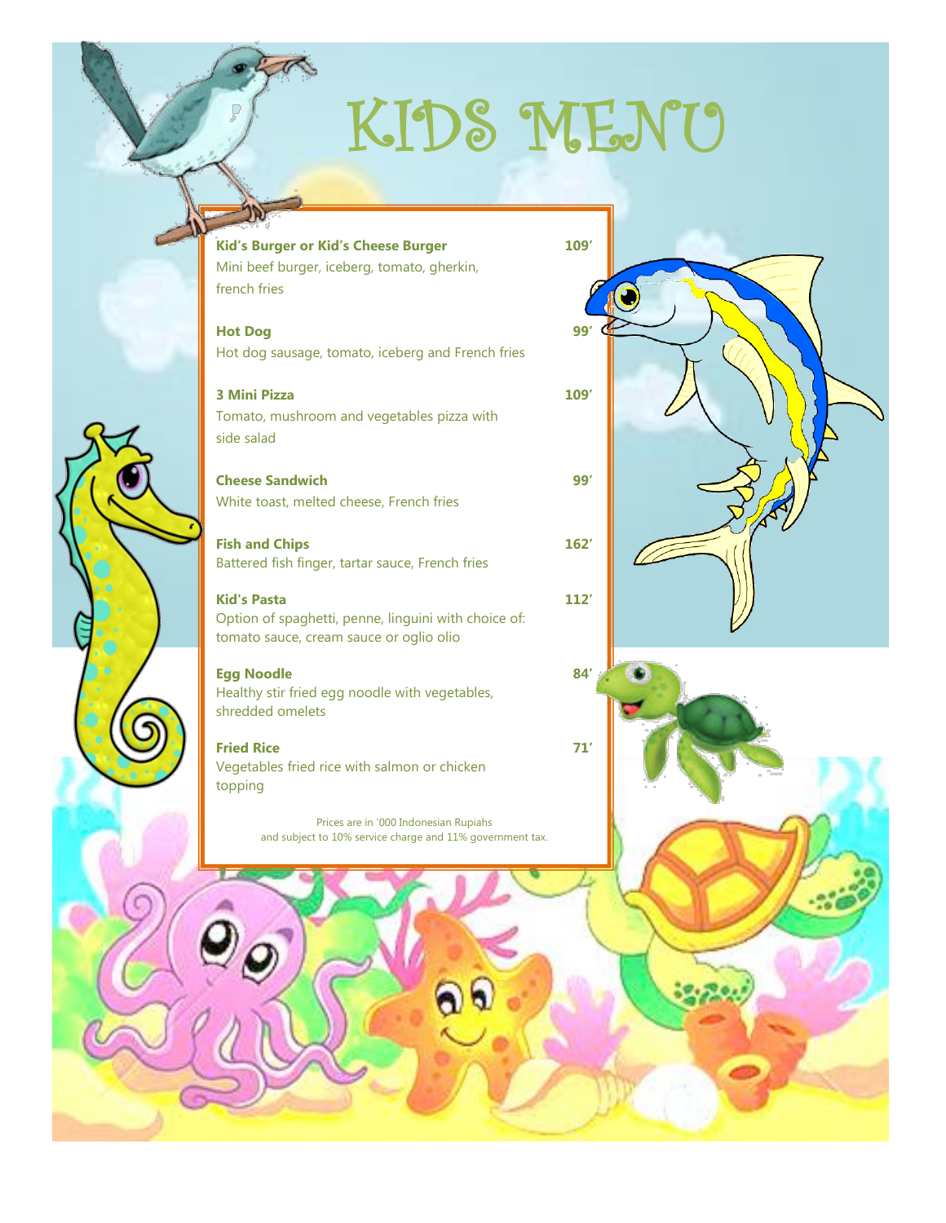# KIDS MENU

**[Kid's Burger or](http://www.search-best-cartoon.com/cartoon-birds/cartoon-birds-70.jpg) Kid's Cheese Burger 109'**

Mini beef burger, iceberg, tomato, gherkin, french fries

**Hot Dog [99](http://soupscoop.files.wordpress.com/2012/12/fish-cartoon-7.gif)'** Hot dog sausage, tomato, iceberg and French fries

**3 Mini Pizza 109'**

Tomato, mushroom and vegetables pizza with side salad

**Cheese Sandwich 99'** White toast, melted cheese, French fries

**Fish and Chips 162'** Battered fish finger, tartar sauce, French fries

**Kid's Pasta 112'** Option of spaghetti, penne, linguini with choice of: tomato sauce, cream sauce or oglio olio

**Egg Noodle 84'**

Healthy stir fried egg noodle with vegetables, shredded omelets

**Fried Rice 71'** Vegetables fried rice with salmon or chicken topping

Prices are in '000 Indonesian Rupiahs and subject to 10% service charge and 11% government tax.